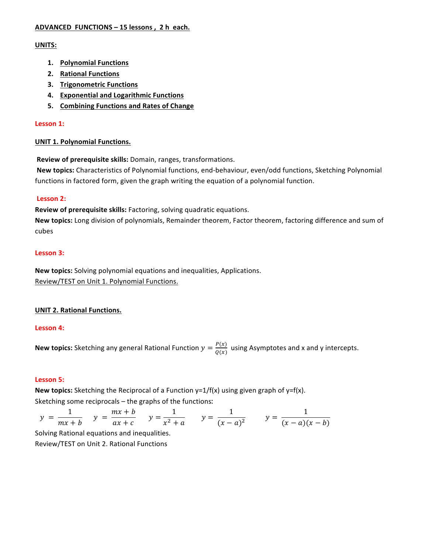# **ADVANCED FUNCTIONS – 15 lessons , 2 h each.**

# **UNITS:**

- **1. Polynomial Functions**
- **2. Rational Functions**
- **3.** Trigonometric Functions
- **4. Exponential and Logarithmic Functions**
- **5.** Combining Functions and Rates of Change

# Lesson 1:

# **UNIT 1. Polynomial Functions.**

**Review of prerequisite skills:** Domain, ranges, transformations.

**New topics:** Characteristics of Polynomial functions, end-behaviour, even/odd functions, Sketching Polynomial functions in factored form, given the graph writing the equation of a polynomial function.

# Lesson 2:

**Review of prerequisite skills:** Factoring, solving quadratic equations.

**New topics:** Long division of polynomials, Remainder theorem, Factor theorem, factoring difference and sum of cubes

# **Lesson 3:**

**New topics:** Solving polynomial equations and inequalities, Applications. Review/TEST on Unit 1. Polynomial Functions.

# **UNIT 2. Rational Functions.**

## Lesson 4:

**New topics:** Sketching any general Rational Function  $y = \frac{P(x)}{Q(x)}$  using Asymptotes and x and y intercepts.

## **Lesson 5:**

**New topics:** Sketching the Reciprocal of a Function  $y=1/f(x)$  using given graph of  $y=f(x)$ . Sketching some reciprocals  $-$  the graphs of the functions:

 $y = \frac{1}{mx + b}$   $y = \frac{mx + b}{ax + c}$   $y = \frac{1}{x^2 + a}$   $y = \frac{1}{(x - a)^2}$   $y = \frac{1}{(x - a)(x - b)}$ 

Solving Rational equations and inequalities.

Review/TEST on Unit 2. Rational Functions